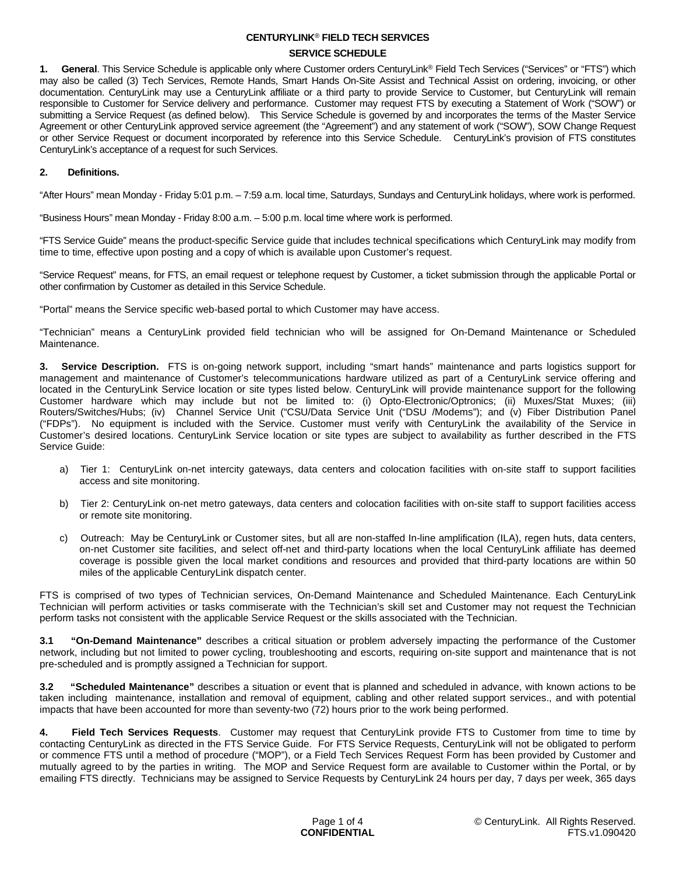### **SERVICE SCHEDULE**

**1. General**. This Service Schedule is applicable only where Customer orders CenturyLink® Field Tech Services ("Services" or "FTS") which may also be called (3) Tech Services, Remote Hands, Smart Hands On-Site Assist and Technical Assist on ordering, invoicing, or other documentation. CenturyLink may use a CenturyLink affiliate or a third party to provide Service to Customer, but CenturyLink will remain responsible to Customer for Service delivery and performance. Customer may request FTS by executing a Statement of Work ("SOW") or submitting a Service Request (as defined below). This Service Schedule is governed by and incorporates the terms of the Master Service Agreement or other CenturyLink approved service agreement (the "Agreement") and any statement of work ("SOW"), SOW Change Request or other Service Request or document incorporated by reference into this Service Schedule. CenturyLink's provision of FTS constitutes CenturyLink's acceptance of a request for such Services.

## **2. Definitions.**

"After Hours" mean Monday - Friday 5:01 p.m. – 7:59 a.m. local time, Saturdays, Sundays and CenturyLink holidays, where work is performed.

"Business Hours" mean Monday - Friday 8:00 a.m. – 5:00 p.m. local time where work is performed.

"FTS Service Guide" means the product-specific Service guide that includes technical specifications which CenturyLink may modify from time to time, effective upon posting and a copy of which is available upon Customer's request.

"Service Request" means, for FTS, an email request or telephone request by Customer, a ticket submission through the applicable Portal or other confirmation by Customer as detailed in this Service Schedule.

"Portal" means the Service specific web-based portal to which Customer may have access.

"Technician" means a CenturyLink provided field technician who will be assigned for On-Demand Maintenance or Scheduled Maintenance.

**3. Service Description.** FTS is on-going network support, including "smart hands" maintenance and parts logistics support for management and maintenance of Customer's telecommunications hardware utilized as part of a CenturyLink service offering and located in the CenturyLink Service location or site types listed below. CenturyLink will provide maintenance support for the following Customer hardware which may include but not be limited to: (i) Opto-Electronic/Optronics; (ii) Muxes/Stat Muxes; (iii) Routers/Switches/Hubs; (iv) Channel Service Unit ("CSU/Data Service Unit ("DSU /Modems"); and (v) Fiber Distribution Panel ("FDPs"). No equipment is included with the Service. Customer must verify with CenturyLink the availability of the Service in Customer's desired locations. CenturyLink Service location or site types are subject to availability as further described in the FTS Service Guide:

- a) Tier 1: CenturyLink on-net intercity gateways, data centers and colocation facilities with on-site staff to support facilities access and site monitoring.
- b) Tier 2: CenturyLink on-net metro gateways, data centers and colocation facilities with on-site staff to support facilities access or remote site monitoring.
- c) Outreach: May be CenturyLink or Customer sites, but all are non-staffed In-line amplification (ILA), regen huts, data centers, on-net Customer site facilities, and select off-net and third-party locations when the local CenturyLink affiliate has deemed coverage is possible given the local market conditions and resources and provided that third-party locations are within 50 miles of the applicable CenturyLink dispatch center.

FTS is comprised of two types of Technician services, On-Demand Maintenance and Scheduled Maintenance. Each CenturyLink Technician will perform activities or tasks commiserate with the Technician's skill set and Customer may not request the Technician perform tasks not consistent with the applicable Service Request or the skills associated with the Technician.

**3.1 "On-Demand Maintenance"** describes a critical situation or problem adversely impacting the performance of the Customer network, including but not limited to power cycling, troubleshooting and escorts, requiring on-site support and maintenance that is not pre-scheduled and is promptly assigned a Technician for support.

**3.2 "Scheduled Maintenance"** describes a situation or event that is planned and scheduled in advance, with known actions to be taken including maintenance, installation and removal of equipment, cabling and other related support services., and with potential impacts that have been accounted for more than seventy-two (72) hours prior to the work being performed.

**4. Field Tech Services Requests**. Customer may request that CenturyLink provide FTS to Customer from time to time by contacting CenturyLink as directed in the FTS Service Guide. For FTS Service Requests, CenturyLink will not be obligated to perform or commence FTS until a method of procedure ("MOP"), or a Field Tech Services Request Form has been provided by Customer and mutually agreed to by the parties in writing. The MOP and Service Request form are available to Customer within the Portal, or by emailing FTS directly. Technicians may be assigned to Service Requests by CenturyLink 24 hours per day, 7 days per week, 365 days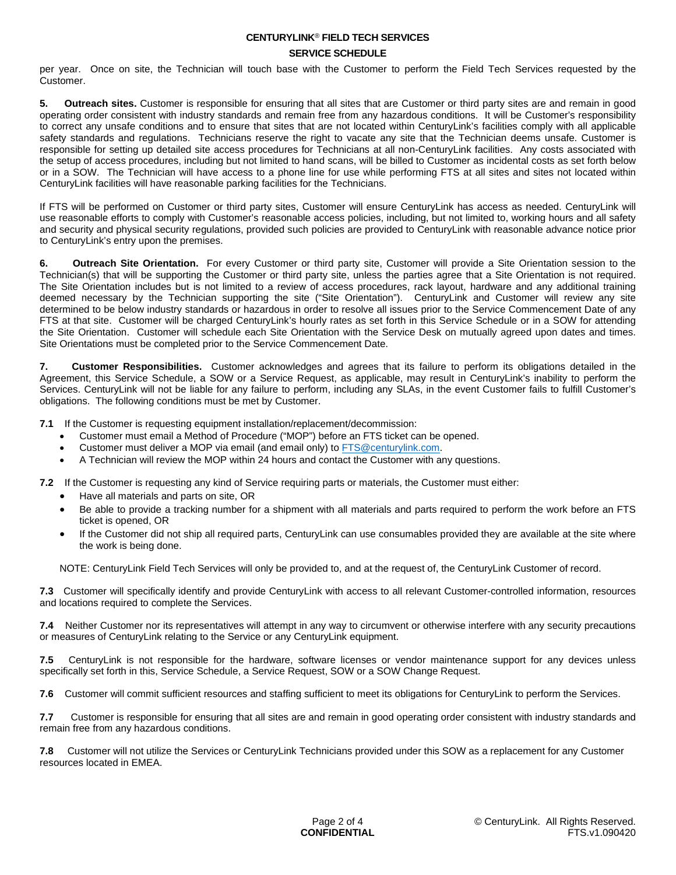### **SERVICE SCHEDULE**

per year. Once on site, the Technician will touch base with the Customer to perform the Field Tech Services requested by the Customer.

**5. Outreach sites.** Customer is responsible for ensuring that all sites that are Customer or third party sites are and remain in good operating order consistent with industry standards and remain free from any hazardous conditions. It will be Customer's responsibility to correct any unsafe conditions and to ensure that sites that are not located within CenturyLink's facilities comply with all applicable safety standards and regulations. Technicians reserve the right to vacate any site that the Technician deems unsafe. Customer is responsible for setting up detailed site access procedures for Technicians at all non-CenturyLink facilities. Any costs associated with the setup of access procedures, including but not limited to hand scans, will be billed to Customer as incidental costs as set forth below or in a SOW. The Technician will have access to a phone line for use while performing FTS at all sites and sites not located within CenturyLink facilities will have reasonable parking facilities for the Technicians.

If FTS will be performed on Customer or third party sites, Customer will ensure CenturyLink has access as needed. CenturyLink will use reasonable efforts to comply with Customer's reasonable access policies, including, but not limited to, working hours and all safety and security and physical security regulations, provided such policies are provided to CenturyLink with reasonable advance notice prior to CenturyLink's entry upon the premises.

**6. Outreach Site Orientation.** For every Customer or third party site, Customer will provide a Site Orientation session to the Technician(s) that will be supporting the Customer or third party site, unless the parties agree that a Site Orientation is not required. The Site Orientation includes but is not limited to a review of access procedures, rack layout, hardware and any additional training deemed necessary by the Technician supporting the site ("Site Orientation"). CenturyLink and Customer will review any site determined to be below industry standards or hazardous in order to resolve all issues prior to the Service Commencement Date of any FTS at that site. Customer will be charged CenturyLink's hourly rates as set forth in this Service Schedule or in a SOW for attending the Site Orientation. Customer will schedule each Site Orientation with the Service Desk on mutually agreed upon dates and times. Site Orientations must be completed prior to the Service Commencement Date.

**7. Customer Responsibilities.** Customer acknowledges and agrees that its failure to perform its obligations detailed in the Agreement, this Service Schedule, a SOW or a Service Request, as applicable, may result in CenturyLink's inability to perform the Services. CenturyLink will not be liable for any failure to perform, including any SLAs, in the event Customer fails to fulfill Customer's obligations. The following conditions must be met by Customer.

**7.1** If the Customer is requesting equipment installation/replacement/decommission:

- Customer must email a Method of Procedure ("MOP") before an FTS ticket can be opened.
- Customer must deliver a MOP via email (and email only) to [FTS@centurylink.com](mailto:FTS@centurylink.com).
- A Technician will review the MOP within 24 hours and contact the Customer with any questions.

**7.2** If the Customer is requesting any kind of Service requiring parts or materials, the Customer must either:

- Have all materials and parts on site, OR
- Be able to provide a tracking number for a shipment with all materials and parts required to perform the work before an FTS ticket is opened, OR
- If the Customer did not ship all required parts, CenturyLink can use consumables provided they are available at the site where the work is being done.

NOTE: CenturyLink Field Tech Services will only be provided to, and at the request of, the CenturyLink Customer of record.

**7.3** Customer will specifically identify and provide CenturyLink with access to all relevant Customer-controlled information, resources and locations required to complete the Services.

**7.4** Neither Customer nor its representatives will attempt in any way to circumvent or otherwise interfere with any security precautions or measures of CenturyLink relating to the Service or any CenturyLink equipment.

**7.5** CenturyLink is not responsible for the hardware, software licenses or vendor maintenance support for any devices unless specifically set forth in this, Service Schedule, a Service Request, SOW or a SOW Change Request.

**7.6** Customer will commit sufficient resources and staffing sufficient to meet its obligations for CenturyLink to perform the Services.

**7.7** Customer is responsible for ensuring that all sites are and remain in good operating order consistent with industry standards and remain free from any hazardous conditions.

**7.8** Customer will not utilize the Services or CenturyLink Technicians provided under this SOW as a replacement for any Customer resources located in EMEA.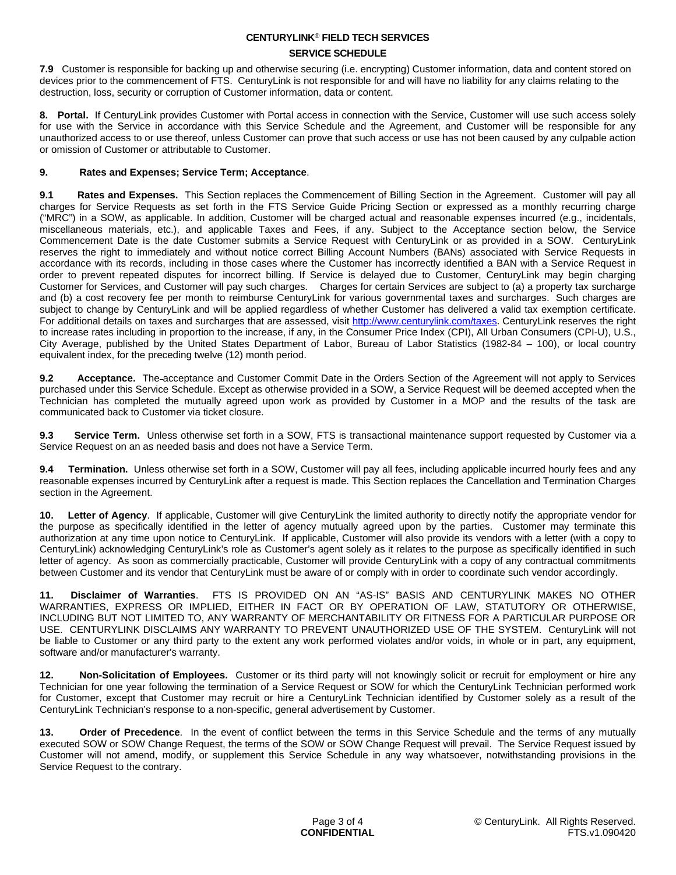### **SERVICE SCHEDULE**

**7.9** Customer is responsible for backing up and otherwise securing (i.e. encrypting) Customer information, data and content stored on devices prior to the commencement of FTS. CenturyLink is not responsible for and will have no liability for any claims relating to the destruction, loss, security or corruption of Customer information, data or content.

**8. Portal.** If CenturyLink provides Customer with Portal access in connection with the Service, Customer will use such access solely for use with the Service in accordance with this Service Schedule and the Agreement, and Customer will be responsible for any unauthorized access to or use thereof, unless Customer can prove that such access or use has not been caused by any culpable action or omission of Customer or attributable to Customer.

## **9. Rates and Expenses; Service Term; Acceptance**.

**9.1 Rates and Expenses.** This Section replaces the Commencement of Billing Section in the Agreement. Customer will pay all charges for Service Requests as set forth in the FTS Service Guide Pricing Section or expressed as a monthly recurring charge ("MRC") in a SOW, as applicable. In addition, Customer will be charged actual and reasonable expenses incurred (e.g., incidentals, miscellaneous materials, etc.), and applicable Taxes and Fees, if any. Subject to the Acceptance section below, the Service Commencement Date is the date Customer submits a Service Request with CenturyLink or as provided in a SOW. CenturyLink reserves the right to immediately and without notice correct Billing Account Numbers (BANs) associated with Service Requests in accordance with its records, including in those cases where the Customer has incorrectly identified a BAN with a Service Request in order to prevent repeated disputes for incorrect billing. If Service is delayed due to Customer, CenturyLink may begin charging Customer for Services, and Customer will pay such charges. Charges for certain Services are subject to (a) a property tax surcharge and (b) a cost recovery fee per month to reimburse CenturyLink for various governmental taxes and surcharges. Such charges are subject to change by CenturyLink and will be applied regardless of whether Customer has delivered a valid tax exemption certificate. For additional details on taxes and surcharges that are assessed, visit<http://www.centurylink.com/taxes>. CenturyLink reserves the right to increase rates including in proportion to the increase, if any, in the Consumer Price Index (CPI), All Urban Consumers (CPI-U), U.S., City Average, published by the United States Department of Labor, Bureau of Labor Statistics (1982-84 – 100), or local country equivalent index, for the preceding twelve (12) month period.

**9.2 Acceptance.** The acceptance and Customer Commit Date in the Orders Section of the Agreement will not apply to Services purchased under this Service Schedule. Except as otherwise provided in a SOW, a Service Request will be deemed accepted when the Technician has completed the mutually agreed upon work as provided by Customer in a MOP and the results of the task are communicated back to Customer via ticket closure.

**9.3 Service Term.** Unless otherwise set forth in a SOW, FTS is transactional maintenance support requested by Customer via a Service Request on an as needed basis and does not have a Service Term.

**9.4 Termination.** Unless otherwise set forth in a SOW, Customer will pay all fees, including applicable incurred hourly fees and any reasonable expenses incurred by CenturyLink after a request is made. This Section replaces the Cancellation and Termination Charges section in the Agreement.

**10. Letter of Agency**. If applicable, Customer will give CenturyLink the limited authority to directly notify the appropriate vendor for the purpose as specifically identified in the letter of agency mutually agreed upon by the parties. Customer may terminate this authorization at any time upon notice to CenturyLink. If applicable, Customer will also provide its vendors with a letter (with a copy to CenturyLink) acknowledging CenturyLink's role as Customer's agent solely as it relates to the purpose as specifically identified in such letter of agency. As soon as commercially practicable, Customer will provide CenturyLink with a copy of any contractual commitments between Customer and its vendor that CenturyLink must be aware of or comply with in order to coordinate such vendor accordingly.

**11. Disclaimer of Warranties**. FTS IS PROVIDED ON AN "AS-IS" BASIS AND CENTURYLINK MAKES NO OTHER WARRANTIES, EXPRESS OR IMPLIED, EITHER IN FACT OR BY OPERATION OF LAW, STATUTORY OR OTHERWISE, INCLUDING BUT NOT LIMITED TO, ANY WARRANTY OF MERCHANTABILITY OR FITNESS FOR A PARTICULAR PURPOSE OR USE. CENTURYLINK DISCLAIMS ANY WARRANTY TO PREVENT UNAUTHORIZED USE OF THE SYSTEM. CenturyLink will not be liable to Customer or any third party to the extent any work performed violates and/or voids, in whole or in part, any equipment, software and/or manufacturer's warranty.

**12. Non-Solicitation of Employees.** Customer or its third party will not knowingly solicit or recruit for employment or hire any Technician for one year following the termination of a Service Request or SOW for which the CenturyLink Technician performed work for Customer, except that Customer may recruit or hire a CenturyLink Technician identified by Customer solely as a result of the CenturyLink Technician's response to a non-specific, general advertisement by Customer.

**13. Order of Precedence**. In the event of conflict between the terms in this Service Schedule and the terms of any mutually executed SOW or SOW Change Request, the terms of the SOW or SOW Change Request will prevail. The Service Request issued by Customer will not amend, modify, or supplement this Service Schedule in any way whatsoever, notwithstanding provisions in the Service Request to the contrary.